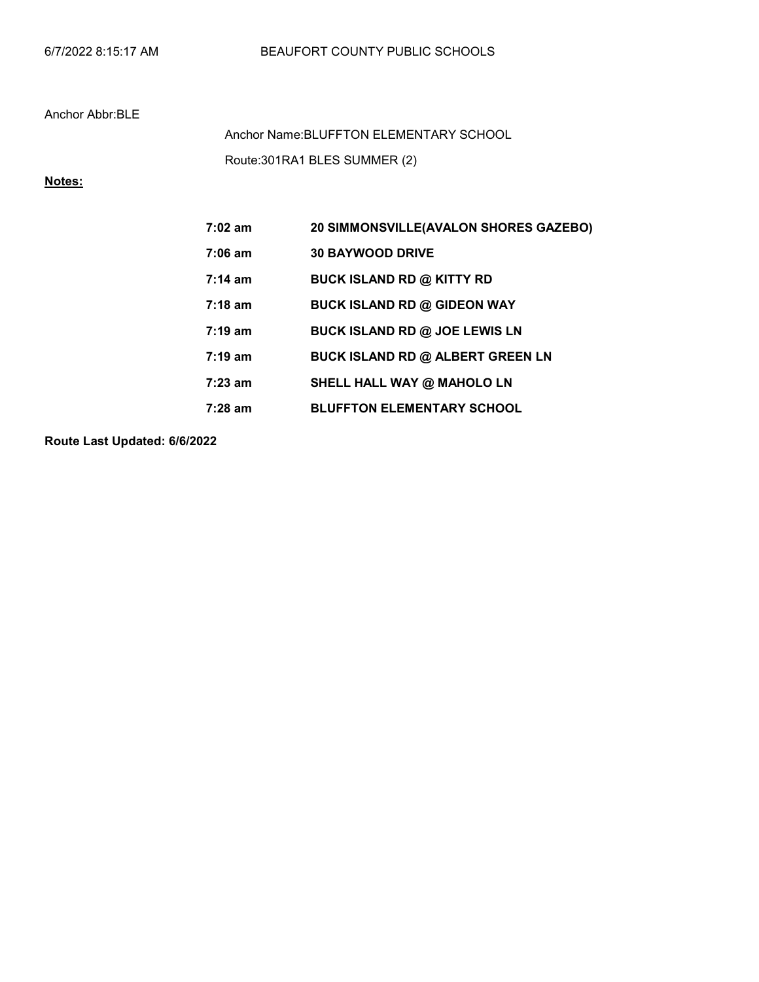### Anchor Abbr:BLE

Route:301RA1 BLES SUMMER (2) Anchor Name:BLUFFTON ELEMENTARY SCHOOL

# Notes:

| $7:02 \text{ am}$ | 20 SIMMONSVILLE(AVALON SHORES GAZEBO)   |
|-------------------|-----------------------------------------|
| $7:06 \text{ am}$ | <b>30 BAYWOOD DRIVE</b>                 |
| $7:14 \text{ am}$ | <b>BUCK ISLAND RD @ KITTY RD</b>        |
| $7:18 \text{ am}$ | <b>BUCK ISLAND RD @ GIDEON WAY</b>      |
| $7:19 \text{ am}$ | <b>BUCK ISLAND RD @ JOE LEWIS LN</b>    |
| $7:19 \text{ am}$ | <b>BUCK ISLAND RD @ ALBERT GREEN LN</b> |
| $7:23$ am         | SHELL HALL WAY @ MAHOLO LN              |
| $7:28$ am         | <b>BLUFFTON ELEMENTARY SCHOOL</b>       |

Route Last Updated: 6/6/2022